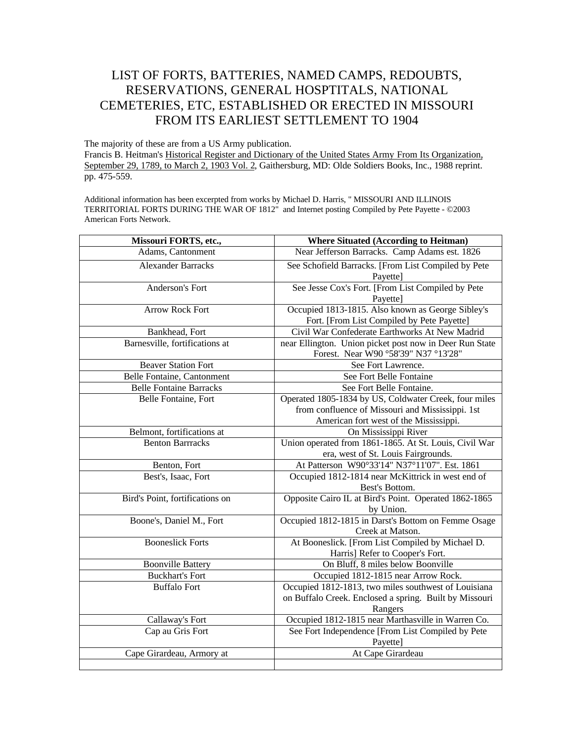## LIST OF FORTS, BATTERIES, NAMED CAMPS, REDOUBTS, RESERVATIONS, GENERAL HOSPTITALS, NATIONAL CEMETERIES, ETC, ESTABLISHED OR ERECTED IN MISSOURI FROM ITS EARLIEST SETTLEMENT TO 1904

The majority of these are from a US Army publication. Francis B. Heitman's Historical Register and Dictionary of the United States Army From Its Organization, September 29, 1789, to March 2, 1903 Vol. 2, Gaithersburg, MD: Olde Soldiers Books, Inc., 1988 reprint. pp. 475-559.

Additional information has been excerpted from works by Michael D. Harris, " MISSOURI AND ILLINOIS TERRITORIAL FORTS DURING THE WAR OF 1812" and Internet posting Compiled by Pete Payette - ©2003 American Forts Network.

| Missouri FORTS, etc.,             | <b>Where Situated (According to Heitman)</b>                                                                                                        |
|-----------------------------------|-----------------------------------------------------------------------------------------------------------------------------------------------------|
| Adams, Cantonment                 | Near Jefferson Barracks. Camp Adams est. 1826                                                                                                       |
| <b>Alexander Barracks</b>         | See Schofield Barracks. [From List Compiled by Pete<br>Payette]                                                                                     |
| Anderson's Fort                   | See Jesse Cox's Fort. [From List Compiled by Pete<br>Payette]                                                                                       |
| <b>Arrow Rock Fort</b>            | Occupied 1813-1815. Also known as George Sibley's<br>Fort. [From List Compiled by Pete Payette]                                                     |
| Bankhead, Fort                    | Civil War Confederate Earthworks At New Madrid                                                                                                      |
| Barnesville, fortifications at    | near Ellington. Union picket post now in Deer Run State<br>Forest. Near W90 °58'39" N37 °13'28"                                                     |
| <b>Beaver Station Fort</b>        | See Fort Lawrence.                                                                                                                                  |
| <b>Belle Fontaine, Cantonment</b> | See Fort Belle Fontaine                                                                                                                             |
| <b>Belle Fontaine Barracks</b>    | See Fort Belle Fontaine.                                                                                                                            |
| Belle Fontaine, Fort              | Operated 1805-1834 by US, Coldwater Creek, four miles<br>from confluence of Missouri and Mississippi. 1st<br>American fort west of the Mississippi. |
| Belmont, fortifications at        | On Mississippi River                                                                                                                                |
| <b>Benton Barrracks</b>           | Union operated from 1861-1865. At St. Louis, Civil War<br>era, west of St. Louis Fairgrounds.                                                       |
| Benton, Fort                      | At Patterson W90°33'14" N37°11'07". Est. 1861                                                                                                       |
| Best's, Isaac, Fort               | Occupied 1812-1814 near McKittrick in west end of<br>Best's Bottom.                                                                                 |
| Bird's Point, fortifications on   | Opposite Cairo IL at Bird's Point. Operated 1862-1865<br>by Union.                                                                                  |
| Boone's, Daniel M., Fort          | Occupied 1812-1815 in Darst's Bottom on Femme Osage<br>Creek at Matson.                                                                             |
| <b>Booneslick Forts</b>           | At Booneslick. [From List Compiled by Michael D.<br>Harris] Refer to Cooper's Fort.                                                                 |
| <b>Boonville Battery</b>          | On Bluff, 8 miles below Boonville                                                                                                                   |
| <b>Buckhart's Fort</b>            | Occupied 1812-1815 near Arrow Rock.                                                                                                                 |
| <b>Buffalo Fort</b>               | Occupied 1812-1813, two miles southwest of Louisiana<br>on Buffalo Creek. Enclosed a spring. Built by Missouri<br>Rangers                           |
| Callaway's Fort                   | Occupied 1812-1815 near Marthasville in Warren Co.                                                                                                  |
| Cap au Gris Fort                  | See Fort Independence [From List Compiled by Pete<br>Payette]                                                                                       |
| Cape Girardeau, Armory at         | At Cape Girardeau                                                                                                                                   |
|                                   |                                                                                                                                                     |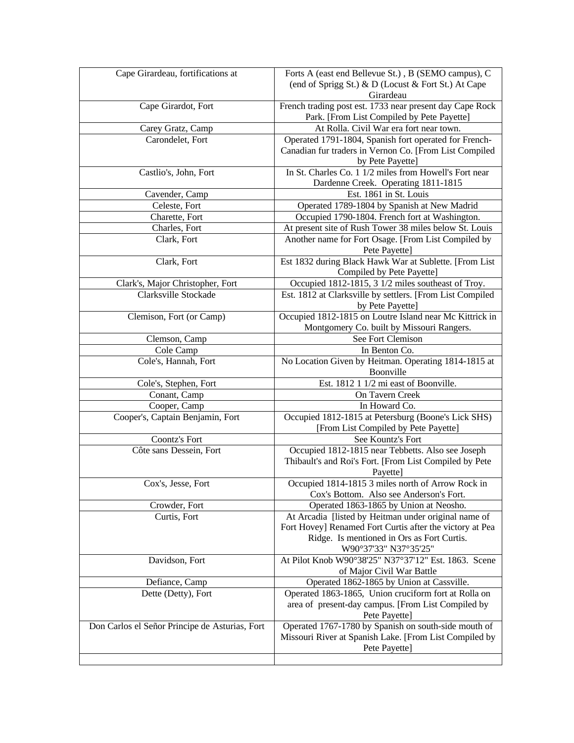| Cape Girardeau, fortifications at                        | Forts A (east end Bellevue St.), B (SEMO campus), C<br>(end of Sprigg St.) & D (Locust & Fort St.) At Cape<br>Girardeau |
|----------------------------------------------------------|-------------------------------------------------------------------------------------------------------------------------|
| Cape Girardot, Fort                                      | French trading post est. 1733 near present day Cape Rock<br>Park. [From List Compiled by Pete Payette]                  |
| Carey Gratz, Camp                                        | At Rolla. Civil War era fort near town.                                                                                 |
| Carondelet, Fort                                         | Operated 1791-1804, Spanish fort operated for French-                                                                   |
|                                                          | Canadian fur traders in Vernon Co. [From List Compiled                                                                  |
|                                                          | by Pete Payette]                                                                                                        |
| Castlio's, John, Fort                                    | In St. Charles Co. 1 1/2 miles from Howell's Fort near<br>Dardenne Creek. Operating 1811-1815                           |
| Cavender, Camp                                           | Est. 1861 in St. Louis                                                                                                  |
| Celeste, Fort                                            | Operated 1789-1804 by Spanish at New Madrid                                                                             |
| Charette, Fort                                           | Occupied 1790-1804. French fort at Washington.                                                                          |
| Charles, Fort                                            | At present site of Rush Tower 38 miles below St. Louis                                                                  |
| Clark, Fort                                              | Another name for Fort Osage. [From List Compiled by                                                                     |
|                                                          | Pete Payette]                                                                                                           |
| Clark, Fort                                              | Est 1832 during Black Hawk War at Sublette. [From List                                                                  |
|                                                          | Compiled by Pete Payette]                                                                                               |
|                                                          | Occupied 1812-1815, 3 1/2 miles southeast of Troy.                                                                      |
| Clark's, Major Christopher, Fort<br>Clarksville Stockade | Est. 1812 at Clarksville by settlers. [From List Compiled                                                               |
|                                                          | by Pete Payette]                                                                                                        |
| Clemison, Fort (or Camp)                                 | Occupied 1812-1815 on Loutre Island near Mc Kittrick in                                                                 |
|                                                          | Montgomery Co. built by Missouri Rangers.                                                                               |
| Clemson, Camp                                            | See Fort Clemison                                                                                                       |
| Cole Camp                                                | In Benton Co.                                                                                                           |
| Cole's, Hannah, Fort                                     | No Location Given by Heitman. Operating 1814-1815 at                                                                    |
|                                                          | Boonville                                                                                                               |
| Cole's, Stephen, Fort                                    | Est. 1812 1 1/2 mi east of Boonville.                                                                                   |
| Conant, Camp                                             | On Tavern Creek                                                                                                         |
| Cooper, Camp                                             | In Howard Co.                                                                                                           |
| Cooper's, Captain Benjamin, Fort                         | Occupied 1812-1815 at Petersburg (Boone's Lick SHS)                                                                     |
|                                                          | [From List Compiled by Pete Payette]                                                                                    |
| Coontz's Fort                                            | See Kountz's Fort                                                                                                       |
| Côte sans Dessein, Fort                                  | Occupied 1812-1815 near Tebbetts. Also see Joseph                                                                       |
|                                                          | Thibault's and Roi's Fort. [From List Compiled by Pete                                                                  |
|                                                          | Payette]                                                                                                                |
| Cox's, Jesse, Fort                                       | Occupied 1814-1815 3 miles north of Arrow Rock in                                                                       |
|                                                          | Cox's Bottom. Also see Anderson's Fort.                                                                                 |
| Crowder, Fort                                            | Operated 1863-1865 by Union at Neosho.                                                                                  |
| Curtis, Fort                                             | At Arcadia [listed by Heitman under original name of                                                                    |
|                                                          | Fort Hovey] Renamed Fort Curtis after the victory at Pea                                                                |
|                                                          | Ridge. Is mentioned in Ors as Fort Curtis.                                                                              |
|                                                          |                                                                                                                         |
|                                                          | W90°37'33" N37°35'25"                                                                                                   |
| Davidson, Fort                                           | At Pilot Knob W90°38'25" N37°37'12" Est. 1863. Scene                                                                    |
|                                                          | of Major Civil War Battle                                                                                               |
| Defiance, Camp                                           | Operated 1862-1865 by Union at Cassville.                                                                               |
| Dette (Detty), Fort                                      | Operated 1863-1865, Union cruciform fort at Rolla on                                                                    |
|                                                          | area of present-day campus. [From List Compiled by<br>Pete Payette]                                                     |
| Don Carlos el Señor Principe de Asturias, Fort           | Operated 1767-1780 by Spanish on south-side mouth of                                                                    |
|                                                          | Missouri River at Spanish Lake. [From List Compiled by                                                                  |
|                                                          | Pete Payette]                                                                                                           |
|                                                          |                                                                                                                         |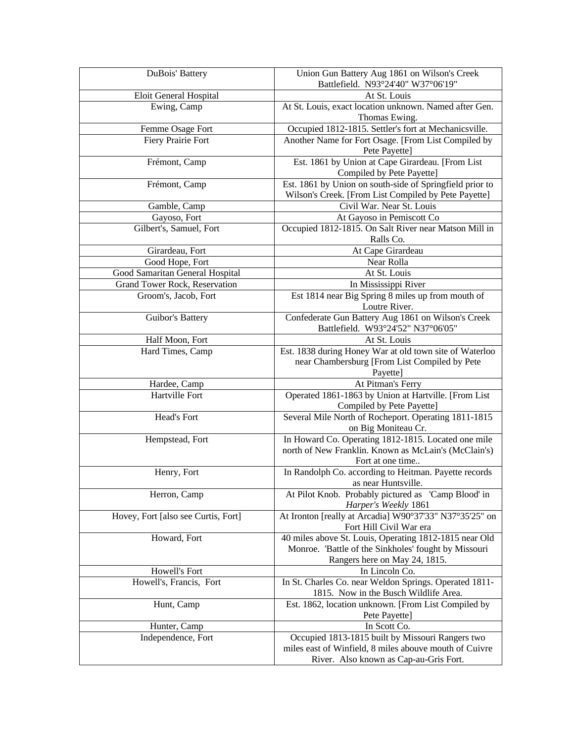| DuBois' Battery                                       | Union Gun Battery Aug 1861 on Wilson's Creek                                                                     |
|-------------------------------------------------------|------------------------------------------------------------------------------------------------------------------|
|                                                       | Battlefield. N93°24'40" W37°06'19"                                                                               |
| Eloit General Hospital                                | At St. Louis                                                                                                     |
| Ewing, Camp                                           | At St. Louis, exact location unknown. Named after Gen.<br>Thomas Ewing.                                          |
| Femme Osage Fort                                      | Occupied 1812-1815. Settler's fort at Mechanicsville.                                                            |
| Fiery Prairie Fort                                    | Another Name for Fort Osage. [From List Compiled by                                                              |
|                                                       | Pete Payette]                                                                                                    |
| Frémont, Camp                                         | Est. 1861 by Union at Cape Girardeau. [From List]                                                                |
|                                                       | Compiled by Pete Payette]                                                                                        |
| Frémont, Camp                                         | Est. 1861 by Union on south-side of Springfield prior to<br>Wilson's Creek. [From List Compiled by Pete Payette] |
| Gamble, Camp                                          | Civil War. Near St. Louis                                                                                        |
| Gayoso, Fort                                          | At Gayoso in Pemiscott Co                                                                                        |
| Gilbert's, Samuel, Fort                               | Occupied 1812-1815. On Salt River near Matson Mill in                                                            |
|                                                       | Ralls Co.                                                                                                        |
| Girardeau, Fort<br>Good Hope, Fort                    | At Cape Girardeau<br>Near Rolla                                                                                  |
| Good Samaritan General Hospital                       | At St. Louis                                                                                                     |
|                                                       | In Mississippi River                                                                                             |
| Grand Tower Rock, Reservation<br>Groom's, Jacob, Fort | Est 1814 near Big Spring 8 miles up from mouth of                                                                |
|                                                       | Loutre River.                                                                                                    |
| Guibor's Battery                                      | Confederate Gun Battery Aug 1861 on Wilson's Creek<br>Battlefield. W93°24'52" N37°06'05"                         |
| Half Moon, Fort                                       | At St. Louis                                                                                                     |
| Hard Times, Camp                                      | Est. 1838 during Honey War at old town site of Waterloo                                                          |
|                                                       | near Chambersburg [From List Compiled by Pete                                                                    |
|                                                       | Payette]                                                                                                         |
| Hardee, Camp                                          | At Pitman's Ferry                                                                                                |
| Hartville Fort                                        | Operated 1861-1863 by Union at Hartville. [From List<br>Compiled by Pete Payette]                                |
| Head's Fort                                           | Several Mile North of Rocheport. Operating 1811-1815                                                             |
|                                                       | on Big Moniteau Cr.                                                                                              |
| Hempstead, Fort                                       | In Howard Co. Operating 1812-1815. Located one mile                                                              |
|                                                       | north of New Franklin. Known as McLain's (McClain's)                                                             |
|                                                       | Fort at one time                                                                                                 |
| Henry, Fort                                           | In Randolph Co. according to Heitman. Payette records<br>as near Huntsville.                                     |
| Herron, Camp                                          | At Pilot Knob. Probably pictured as 'Camp Blood' in                                                              |
|                                                       | Harper's Weekly 1861                                                                                             |
| Hovey, Fort [also see Curtis, Fort]                   | At Ironton [really at Arcadia] W90°37'33" N37°35'25" on                                                          |
|                                                       | Fort Hill Civil War era                                                                                          |
| Howard, Fort                                          | 40 miles above St. Louis, Operating 1812-1815 near Old                                                           |
|                                                       | Monroe. 'Battle of the Sinkholes' fought by Missouri                                                             |
|                                                       | Rangers here on May 24, 1815.                                                                                    |
| Howell's Fort                                         | In Lincoln Co.                                                                                                   |
| Howell's, Francis, Fort                               | In St. Charles Co. near Weldon Springs. Operated 1811-<br>1815. Now in the Busch Wildlife Area.                  |
| Hunt, Camp                                            | Est. 1862, location unknown. [From List Compiled by                                                              |
|                                                       | Pete Payette]                                                                                                    |
| Hunter, Camp                                          | In Scott Co.                                                                                                     |
| Independence, Fort                                    | Occupied 1813-1815 built by Missouri Rangers two                                                                 |
|                                                       | miles east of Winfield, 8 miles abouve mouth of Cuivre                                                           |
|                                                       | River. Also known as Cap-au-Gris Fort.                                                                           |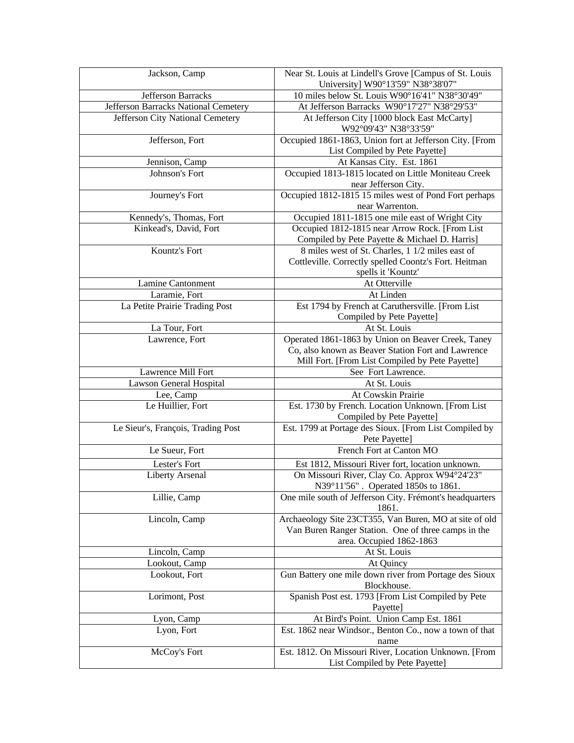| Jackson, Camp                        | Near St. Louis at Lindell's Grove [Campus of St. Louis<br>University] W90°13'59" N38°38'07"     |
|--------------------------------------|-------------------------------------------------------------------------------------------------|
| Jefferson Barracks                   | 10 miles below St. Louis W90°16'41" N38°30'49"                                                  |
| Jefferson Barracks National Cemetery | At Jefferson Barracks W90°17'27" N38°29'53"                                                     |
| Jefferson City National Cemetery     | At Jefferson City [1000 block East McCarty]<br>W92°09'43" N38°33'59"                            |
| Jefferson, Fort                      | Occupied 1861-1863, Union fort at Jefferson City. [From<br>List Compiled by Pete Payette]       |
| Jennison, Camp                       | At Kansas City. Est. 1861                                                                       |
| Johnson's Fort                       | Occupied 1813-1815 located on Little Moniteau Creek                                             |
|                                      | near Jefferson City.                                                                            |
| Journey's Fort                       | Occupied 1812-1815 15 miles west of Pond Fort perhaps<br>near Warrenton.                        |
| Kennedy's, Thomas, Fort              | Occupied 1811-1815 one mile east of Wright City                                                 |
| Kinkead's, David, Fort               | Occupied 1812-1815 near Arrow Rock. [From List<br>Compiled by Pete Payette & Michael D. Harris] |
| Kountz's Fort                        | 8 miles west of St. Charles, 1 1/2 miles east of                                                |
|                                      | Cottleville. Correctly spelled Coontz's Fort. Heitman<br>spells it 'Kountz'                     |
| Lamine Cantonment                    | At Otterville                                                                                   |
| Laramie, Fort                        | At Linden                                                                                       |
| La Petite Prairie Trading Post       | Est 1794 by French at Caruthersville. [From List]                                               |
|                                      | Compiled by Pete Payette]                                                                       |
| La Tour, Fort                        | At St. Louis                                                                                    |
| Lawrence, Fort                       | Operated 1861-1863 by Union on Beaver Creek, Taney                                              |
|                                      | Co, also known as Beaver Station Fort and Lawrence                                              |
|                                      | Mill Fort. [From List Compiled by Pete Payette]                                                 |
| Lawrence Mill Fort                   | See Fort Lawrence.                                                                              |
| Lawson General Hospital              | At St. Louis                                                                                    |
| Lee, Camp                            | At Cowskin Prairie                                                                              |
| Le Huillier, Fort                    | Est. 1730 by French. Location Unknown. [From List<br>Compiled by Pete Payette]                  |
| Le Sieur's, François, Trading Post   | Est. 1799 at Portage des Sioux. [From List Compiled by<br>Pete Payette]                         |
| Le Sueur, Fort                       | French Fort at Canton MO                                                                        |
| Lester's Fort                        | Est 1812, Missouri River fort, location unknown.                                                |
| Liberty Arsenal                      | On Missouri River, Clay Co. Approx W94°24'23"<br>N39°11'56". Operated 1850s to 1861.            |
| Lillie, Camp                         | One mile south of Jefferson City. Frémont's headquarters                                        |
|                                      | 1861.                                                                                           |
| Lincoln, Camp                        | Archaeology Site 23CT355, Van Buren, MO at site of old                                          |
|                                      | Van Buren Ranger Station. One of three camps in the                                             |
|                                      | area. Occupied 1862-1863                                                                        |
| Lincoln, Camp                        | At St. Louis                                                                                    |
| Lookout, Camp                        | At Quincy                                                                                       |
| Lookout, Fort                        | Gun Battery one mile down river from Portage des Sioux<br>Blockhouse.                           |
| Lorimont, Post                       | Spanish Post est. 1793 [From List Compiled by Pete<br>Payette]                                  |
| Lyon, Camp                           | At Bird's Point. Union Camp Est. 1861                                                           |
| Lyon, Fort                           | Est. 1862 near Windsor., Benton Co., now a town of that                                         |
| McCoy's Fort                         | name<br>Est. 1812. On Missouri River, Location Unknown. [From                                   |
|                                      | List Compiled by Pete Payette]                                                                  |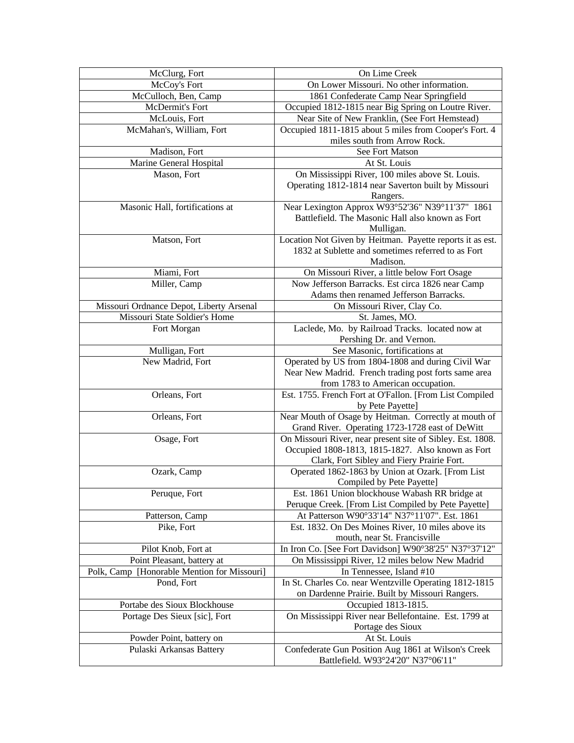| McClurg, Fort                               | On Lime Creek                                                                                                   |
|---------------------------------------------|-----------------------------------------------------------------------------------------------------------------|
| McCoy's Fort                                | On Lower Missouri. No other information.                                                                        |
| McCulloch, Ben, Camp                        | 1861 Confederate Camp Near Springfield                                                                          |
| McDermit's Fort                             | Occupied 1812-1815 near Big Spring on Loutre River.                                                             |
| McLouis, Fort                               | Near Site of New Franklin, (See Fort Hemstead)                                                                  |
| McMahan's, William, Fort                    | Occupied 1811-1815 about 5 miles from Cooper's Fort. 4                                                          |
|                                             | miles south from Arrow Rock.                                                                                    |
| Madison, Fort                               | See Fort Matson                                                                                                 |
| Marine General Hospital                     | At St. Louis                                                                                                    |
| Mason, Fort                                 | On Mississippi River, 100 miles above St. Louis.                                                                |
|                                             | Operating 1812-1814 near Saverton built by Missouri                                                             |
|                                             | Rangers.                                                                                                        |
| Masonic Hall, fortifications at             | Near Lexington Approx W93°52'36" N39°11'37" 1861                                                                |
|                                             | Battlefield. The Masonic Hall also known as Fort                                                                |
|                                             | Mulligan.                                                                                                       |
| Matson, Fort                                | Location Not Given by Heitman. Payette reports it as est.<br>1832 at Sublette and sometimes referred to as Fort |
|                                             | Madison.                                                                                                        |
| Miami, Fort                                 | On Missouri River, a little below Fort Osage                                                                    |
| Miller, Camp                                | Now Jefferson Barracks. Est circa 1826 near Camp                                                                |
|                                             | Adams then renamed Jefferson Barracks.                                                                          |
| Missouri Ordnance Depot, Liberty Arsenal    | On Missouri River, Clay Co.                                                                                     |
| Missouri State Soldier's Home               | St. James, MO.                                                                                                  |
| Fort Morgan                                 | Laclede, Mo. by Railroad Tracks. located now at                                                                 |
|                                             | Pershing Dr. and Vernon.                                                                                        |
| Mulligan, Fort                              | See Masonic, fortifications at                                                                                  |
| New Madrid, Fort                            | Operated by US from 1804-1808 and during Civil War                                                              |
|                                             | Near New Madrid. French trading post forts same area                                                            |
|                                             | from 1783 to American occupation.                                                                               |
| Orleans, Fort                               | Est. 1755. French Fort at O'Fallon. [From List Compiled                                                         |
|                                             | by Pete Payette]                                                                                                |
| Orleans, Fort                               | Near Mouth of Osage by Heitman. Correctly at mouth of                                                           |
|                                             | Grand River. Operating 1723-1728 east of DeWitt                                                                 |
| Osage, Fort                                 | On Missouri River, near present site of Sibley. Est. 1808.                                                      |
|                                             | Occupied 1808-1813, 1815-1827. Also known as Fort                                                               |
| Ozark, Camp                                 | Clark, Fort Sibley and Fiery Prairie Fort.<br>Operated 1862-1863 by Union at Ozark. [From List                  |
|                                             | Compiled by Pete Payette]                                                                                       |
| Peruque, Fort                               | Est. 1861 Union blockhouse Wabash RR bridge at                                                                  |
|                                             | Peruque Creek. [From List Compiled by Pete Payette]                                                             |
| Patterson, Camp                             | At Patterson W90°33'14" N37°11'07". Est. 1861                                                                   |
| Pike, Fort                                  | Est. 1832. On Des Moines River, 10 miles above its                                                              |
|                                             | mouth, near St. Francisville                                                                                    |
| Pilot Knob, Fort at                         | In Iron Co. [See Fort Davidson] W90°38'25" N37°37'12"                                                           |
| Point Pleasant, battery at                  | On Mississippi River, 12 miles below New Madrid                                                                 |
| Polk, Camp [Honorable Mention for Missouri] | In Tennessee, Island #10                                                                                        |
| Pond, Fort                                  | In St. Charles Co. near Wentzville Operating 1812-1815                                                          |
|                                             | on Dardenne Prairie. Built by Missouri Rangers.                                                                 |
| Portabe des Sioux Blockhouse                | Occupied 1813-1815.                                                                                             |
| Portage Des Sieux [sic], Fort               | On Mississippi River near Bellefontaine. Est. 1799 at                                                           |
|                                             | Portage des Sioux                                                                                               |
| Powder Point, battery on                    | At St. Louis                                                                                                    |
| Pulaski Arkansas Battery                    | Confederate Gun Position Aug 1861 at Wilson's Creek<br>Battlefield. W93°24'20" N37°06'11"                       |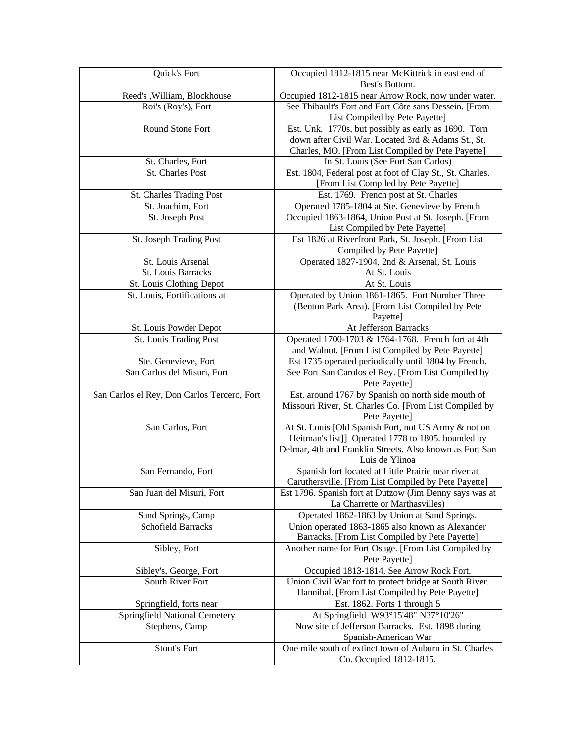| Quick's Fort                                | Occupied 1812-1815 near McKittrick in east end of                                                 |
|---------------------------------------------|---------------------------------------------------------------------------------------------------|
|                                             | Best's Bottom.                                                                                    |
| Reed's , William, Blockhouse                | Occupied 1812-1815 near Arrow Rock, now under water.                                              |
| Roi's (Roy's), Fort                         | See Thibault's Fort and Fort Côte sans Dessein. [From                                             |
|                                             | List Compiled by Pete Payette]                                                                    |
| Round Stone Fort                            | Est. Unk. 1770s, but possibly as early as 1690. Torn                                              |
|                                             | down after Civil War. Located 3rd & Adams St., St.                                                |
|                                             | Charles, MO. [From List Compiled by Pete Payette]                                                 |
| St. Charles, Fort                           | In St. Louis (See Fort San Carlos)                                                                |
| <b>St. Charles Post</b>                     | Est. 1804, Federal post at foot of Clay St., St. Charles.<br>[From List Compiled by Pete Payette] |
| St. Charles Trading Post                    | Est. 1769. French post at St. Charles                                                             |
| St. Joachim, Fort                           | Operated 1785-1804 at Ste. Genevieve by French                                                    |
| St. Joseph Post                             | Occupied 1863-1864, Union Post at St. Joseph. [From                                               |
|                                             | List Compiled by Pete Payette]                                                                    |
| St. Joseph Trading Post                     | Est 1826 at Riverfront Park, St. Joseph. [From List                                               |
|                                             | Compiled by Pete Payette]                                                                         |
| St. Louis Arsenal                           | Operated 1827-1904, 2nd & Arsenal, St. Louis                                                      |
| St. Louis Barracks                          | At St. Louis                                                                                      |
| St. Louis Clothing Depot                    | At St. Louis                                                                                      |
| St. Louis, Fortifications at                | Operated by Union 1861-1865. Fort Number Three                                                    |
|                                             | (Benton Park Area). [From List Compiled by Pete                                                   |
|                                             | Payette]                                                                                          |
| St. Louis Powder Depot                      | At Jefferson Barracks                                                                             |
| St. Louis Trading Post                      | Operated 1700-1703 & 1764-1768. French fort at 4th                                                |
|                                             | and Walnut. [From List Compiled by Pete Payette]                                                  |
| Ste. Genevieve, Fort                        | Est 1735 operated periodically until 1804 by French.                                              |
| San Carlos del Misuri, Fort                 | See Fort San Carolos el Rey. [From List Compiled by                                               |
|                                             | Pete Payette]                                                                                     |
| San Carlos el Rey, Don Carlos Tercero, Fort | Est. around 1767 by Spanish on north side mouth of                                                |
|                                             | Missouri River, St. Charles Co. [From List Compiled by                                            |
|                                             | Pete Payette]                                                                                     |
| San Carlos, Fort                            | At St. Louis [Old Spanish Fort, not US Army & not on                                              |
|                                             | Heitman's list]] Operated 1778 to 1805. bounded by                                                |
|                                             | Delmar, 4th and Franklin Streets. Also known as Fort San<br>Luis de Ylinoa                        |
| San Fernando, Fort                          | Spanish fort located at Little Prairie near river at                                              |
|                                             | Caruthersville. [From List Compiled by Pete Payette]                                              |
| San Juan del Misuri, Fort                   | Est 1796. Spanish fort at Dutzow (Jim Denny says was at                                           |
|                                             | La Charrette or Marthasvilles)                                                                    |
| Sand Springs, Camp                          | Operated 1862-1863 by Union at Sand Springs.                                                      |
| <b>Schofield Barracks</b>                   | Union operated 1863-1865 also known as Alexander                                                  |
|                                             | Barracks. [From List Compiled by Pete Payette]                                                    |
| Sibley, Fort                                | Another name for Fort Osage. [From List Compiled by                                               |
|                                             | Pete Payette]                                                                                     |
| Sibley's, George, Fort                      | Occupied 1813-1814. See Arrow Rock Fort.                                                          |
| South River Fort                            | Union Civil War fort to protect bridge at South River.                                            |
|                                             | Hannibal. [From List Compiled by Pete Payette]                                                    |
| Springfield, forts near                     | Est. 1862. Forts 1 through 5                                                                      |
| Springfield National Cemetery               | At Springfield W93°15'48" N37°10'26"                                                              |
| Stephens, Camp                              | Now site of Jefferson Barracks. Est. 1898 during                                                  |
|                                             | Spanish-American War                                                                              |
| <b>Stout's Fort</b>                         | One mile south of extinct town of Auburn in St. Charles                                           |
|                                             | Co. Occupied 1812-1815.                                                                           |